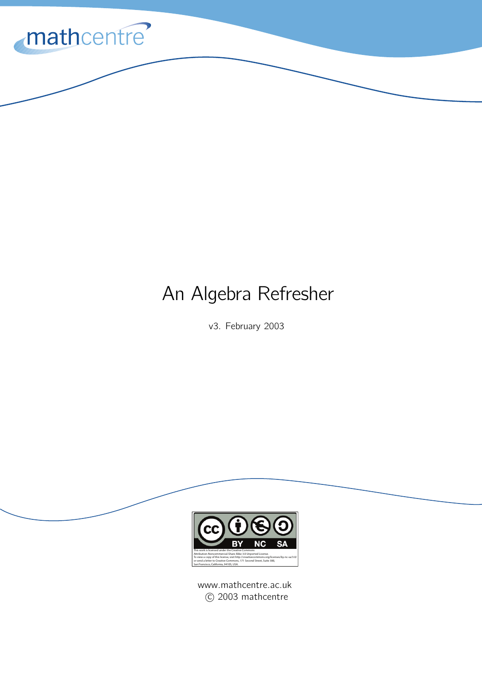

# An Algebra Refresher

v3. February 2003



www.mathcentre.ac.uk C 2003 mathcentre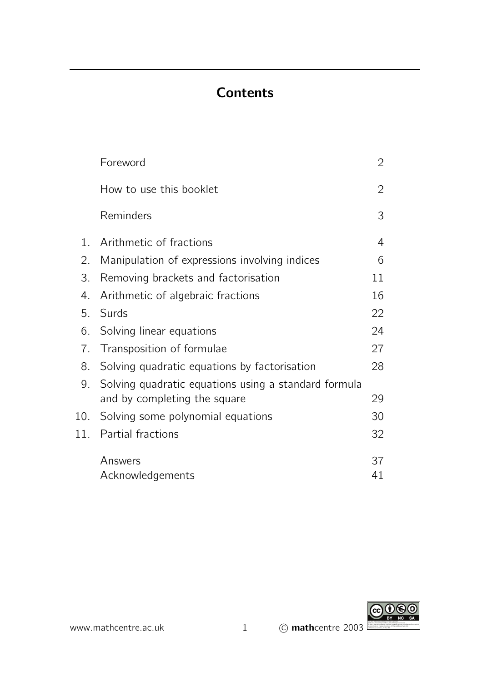# **Contents**

|                  | Foreword                                             | 2              |
|------------------|------------------------------------------------------|----------------|
|                  | How to use this booklet                              | $\overline{2}$ |
|                  | Reminders                                            | 3              |
| $\mathbf{1}_{-}$ | Arithmetic of fractions                              | 4              |
| 2.               | Manipulation of expressions involving indices        | 6              |
| 3.               | Removing brackets and factorisation                  | 11             |
| 4.               | Arithmetic of algebraic fractions                    | 16             |
| 5.               | Surds                                                | 22             |
| 6.               | Solving linear equations                             | 24             |
| 7 <sub>1</sub>   | Transposition of formulae                            | 27             |
| 8.               | Solving quadratic equations by factorisation         | 28             |
| 9.               | Solving quadratic equations using a standard formula |                |
|                  | and by completing the square                         | 29             |
| 10.              | Solving some polynomial equations                    | 30             |
| 11.              | Partial fractions                                    | 32             |
|                  | Answers                                              | 37             |
|                  | Acknowledgements                                     | 41             |



www.mathcentre.ac.uk 1 C mathcentre 2003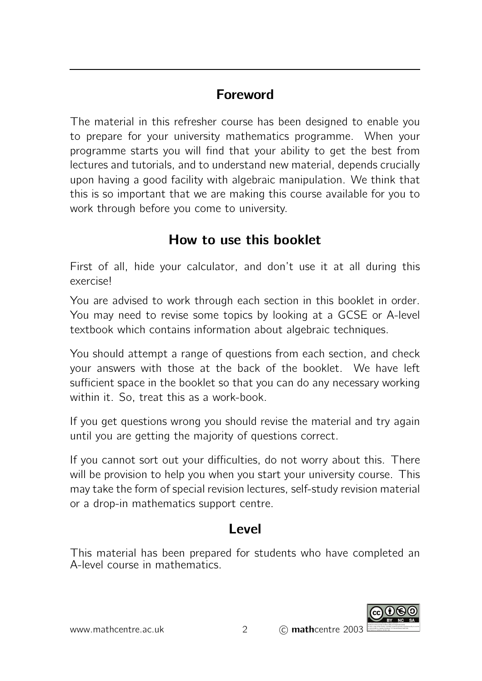# Foreword

The material in this refresher course has been designed to enable you to prepare for your university mathematics programme. When your programme starts you will find that your ability to get the best from lectures and tutorials, and to understand new material, depends crucially upon having a good facility with algebraic manipulation. We think that this is so important that we are making this course available for you to work through before you come to university.

# How to use this booklet

First of all, hide your calculator, and don't use it at all during this exercise!

You are advised to work through each section in this booklet in order. You may need to revise some topics by looking at a GCSE or A-level textbook which contains information about algebraic techniques.

You should attempt a range of questions from each section, and check your answers with those at the back of the booklet. We have left sufficient space in the booklet so that you can do any necessary working within it. So, treat this as a work-book.

If you get questions wrong you should revise the material and try again until you are getting the majority of questions correct.

If you cannot sort out your difficulties, do not worry about this. There will be provision to help you when you start your university course. This may take the form of special revision lectures, self-study revision material or a drop-in mathematics support centre.

# Level

This material has been prepared for students who have completed an A-level course in mathematics.

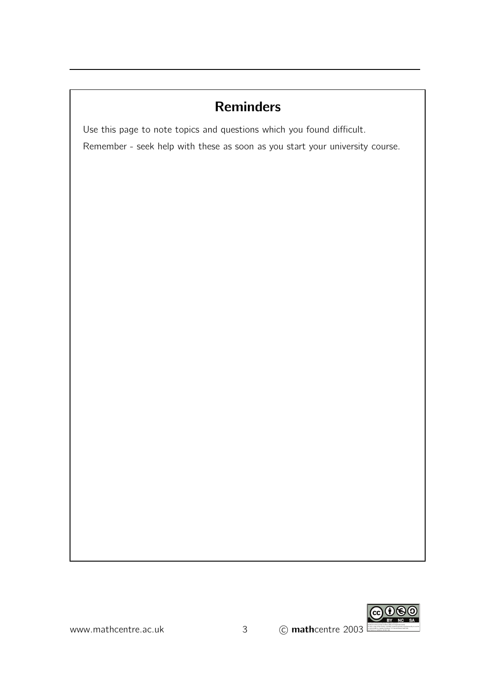# **Reminders**

Use this page to note topics and questions which you found difficult.

Remember - seek help with these as soon as you start your university course.

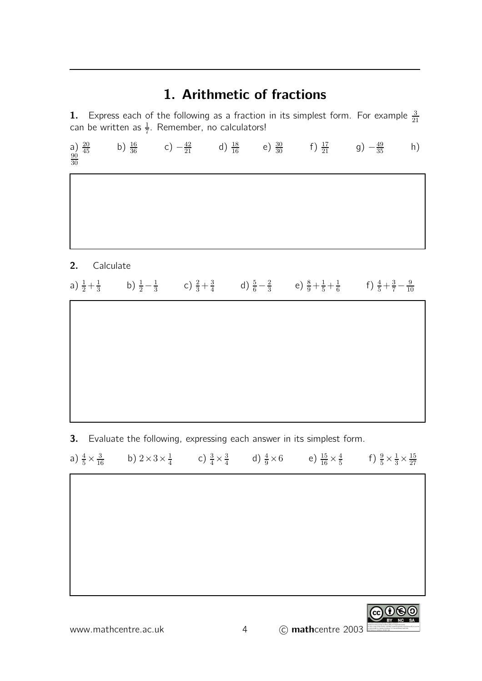### 1. Arithmetic of fractions

**1.** Express each of the following as a fraction in its simplest form. For example  $\frac{3}{21}$  can be written as  $\frac{1}{7}$ . Remember, no calculators!

a)  $\frac{20}{45}$  $\frac{20}{45}$  b)  $\frac{16}{36}$  c)  $-\frac{42}{21}$  d)  $\frac{18}{16}$  e)  $\frac{30}{30}$  f)  $\frac{17}{21}$  g)  $-\frac{49}{35}$  h) 

2. Calculate

| a) $\frac{1}{2} + \frac{1}{3}$ b) $\frac{1}{2} - \frac{1}{3}$ c) $\frac{2}{3} + \frac{3}{4}$ d) $\frac{5}{6} - \frac{2}{3}$ e) $\frac{8}{9} + \frac{1}{5} + \frac{1}{6}$ f) $\frac{4}{5} + \frac{3}{7} - \frac{9}{10}$ |  |  |  |  |
|------------------------------------------------------------------------------------------------------------------------------------------------------------------------------------------------------------------------|--|--|--|--|
|------------------------------------------------------------------------------------------------------------------------------------------------------------------------------------------------------------------------|--|--|--|--|

**3.** Evaluate the following, expressing each answer in its simplest form.

|  | a) $\frac{4}{5} \times \frac{3}{16}$ b) $2 \times 3 \times \frac{1}{4}$ c) $\frac{3}{4} \times \frac{3}{4}$ d) $\frac{4}{9} \times 6$ e) $\frac{15}{16} \times \frac{4}{5}$ f) $\frac{9}{5} \times \frac{1}{3} \times \frac{15}{27}$ |  |  |  |  |
|--|--------------------------------------------------------------------------------------------------------------------------------------------------------------------------------------------------------------------------------------|--|--|--|--|
|--|--------------------------------------------------------------------------------------------------------------------------------------------------------------------------------------------------------------------------------------|--|--|--|--|

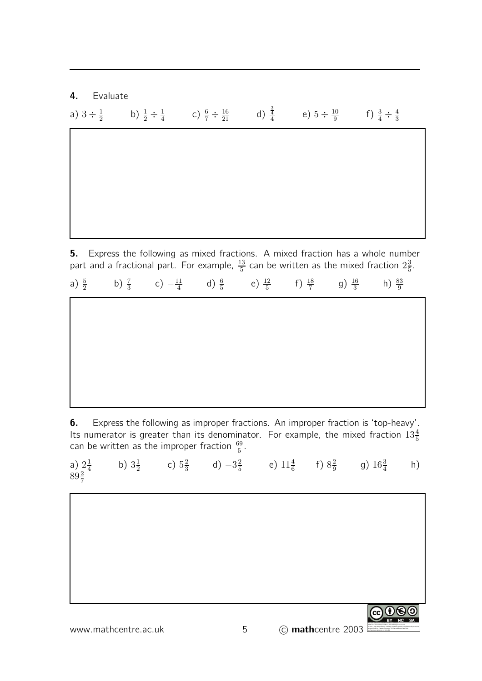4. Evaluate

a)  $3 \div \frac{1}{2}$ 2 b)  $\frac{1}{2} \div \frac{1}{4}$  $\frac{1}{4}$  c)  $\frac{6}{7} \div \frac{16}{21}$  d)  $\frac{3}{4}$  e)  $5 \div \frac{10}{9}$  $\frac{10}{9}$  f)  $\frac{3}{4} \div \frac{4}{3}$ 3

**5.** Express the following as mixed fractions. A mixed fraction has a whole number part and a fractional part. For example,  $\frac{13}{5}$  can be written as the mixed fraction  $2\frac{3}{5}$  $\frac{3}{5}$ .

|  | a) $\frac{5}{2}$ b) $\frac{7}{3}$ c) $-\frac{11}{4}$ d) $\frac{6}{5}$ e) $\frac{12}{5}$ f) $\frac{18}{7}$ g) $\frac{16}{3}$ h) $\frac{83}{9}$ |  |  |  |
|--|-----------------------------------------------------------------------------------------------------------------------------------------------|--|--|--|
|  |                                                                                                                                               |  |  |  |
|  |                                                                                                                                               |  |  |  |
|  |                                                                                                                                               |  |  |  |
|  |                                                                                                                                               |  |  |  |
|  |                                                                                                                                               |  |  |  |

6. Express the following as improper fractions. An improper fraction is 'top-heavy'. Its numerator is greater than its denominator. For example, the mixed fraction  $13\frac{4}{5}$ can be written as the improper fraction  $\frac{69}{5}$ .

|  | a) $2\frac{1}{4}$ b) $3\frac{1}{2}$ c) $5\frac{2}{3}$ d) $-3\frac{2}{5}$ e) $11\frac{4}{6}$ f) $8\frac{2}{9}$ g) $16\frac{3}{4}$ h) $89\frac{2}{7}$ |  |  |
|--|-----------------------------------------------------------------------------------------------------------------------------------------------------|--|--|
|  |                                                                                                                                                     |  |  |

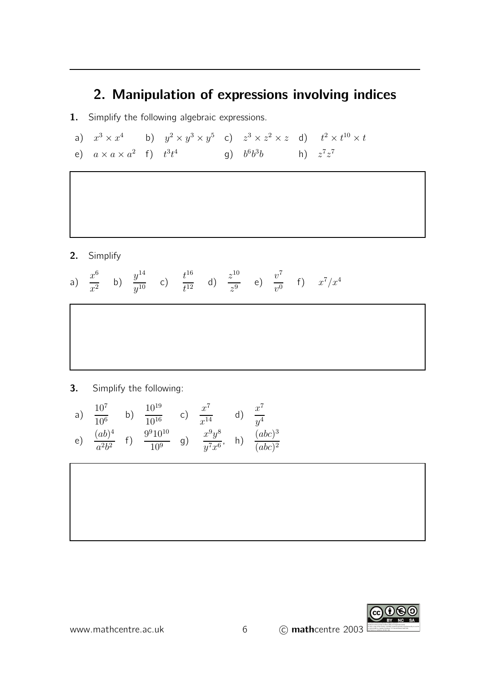# 2. Manipulation of expressions involving indices

- 1. Simplify the following algebraic expressions.
- a)  $x^3 \times x^4$  b)  $y^2 \times y^3 \times y^5$  c)  $z^3 \times z^2 \times z$  d)  $t^2 \times t^{10} \times t$ e)  $a \times a \times a^2$  f)  $t^3 t^4$  g)  $b^6 b^3 b$  h)  $z^7 z^7$

2. Simplify

a) 
$$
\frac{x^6}{x^2}
$$
 b)  $\frac{y^{14}}{y^{10}}$  c)  $\frac{t^{16}}{t^{12}}$  d)  $\frac{z^{10}}{z^9}$  e)  $\frac{v^7}{v^0}$  f)  $x^7/x^4$ 

3. Simplify the following:

a) 
$$
\frac{10^7}{10^6}
$$
 b)  $\frac{10^{19}}{10^{16}}$  c)  $\frac{x^7}{x^{14}}$  d)  $\frac{x^7}{y^4}$   
e)  $\frac{(ab)^4}{a^2b^2}$  f)  $\frac{9^910^{10}}{10^9}$  g)  $\frac{x^9y^8}{y^7x^6}$ , h)  $\frac{(abc)^3}{(abc)^2}$ 



www.mathcentre.ac.uk  $\qquad \qquad 6 \qquad \qquad$  (C) mathcentre 2003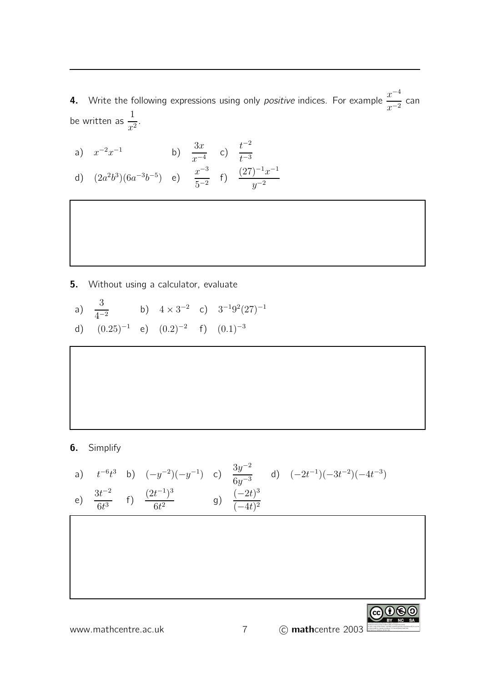- 4. Write the following expressions using only *positive* indices. For example  $\frac{x^{-4}}{2}$  $x^{-2}$ can be written as  $\frac{1}{2}$  $\frac{1}{x^2}$ .
- a)  $x^{-2}x^{-1}$  b)  $\frac{3x}{2}$  $x^{-4}$ c)  $\frac{t^{-2}}{1}$  $t^{-3}$ d)  $(2a^2b^3)(6a^{-3}b^{-5})$  e)  $\frac{x^{-3}}{5a^{-3}}$  $5^{-2}$ f)  $\frac{(27)^{-1}x^{-1}}{2}$  $y^{-2}$

- **5.** Without using a calculator, evaluate
- a)  $\frac{3}{4}$  $\frac{3}{4^{-2}}$  b)  $4 \times 3^{-2}$  c)  $3^{-1}9^{2}(27)^{-1}$ d)  $(0.25)^{-1}$  e)  $(0.2)^{-2}$  f)  $(0.1)^{-3}$

6. Simplify

a) 
$$
t^{-6}t^3
$$
 b)  $(-y^{-2})(-y^{-1})$  c)  $\frac{3y^{-2}}{6y^{-3}}$  d)  $(-2t^{-1})(-3t^{-2})(-4t^{-3})$   
e)  $\frac{3t^{-2}}{6t^3}$  f)  $\frac{(2t^{-1})^3}{6t^2}$  g)  $\frac{(-2t)^3}{(-4t)^2}$ 



To view a copy of this license, visit http://creativecommons.org/licenses/by-nc-sa/3.0/ or send a letter to Creative Commons, 171 Second Street, Suite 300, San Francisco, California, 94105, USA.

 $G \oplus \Theta$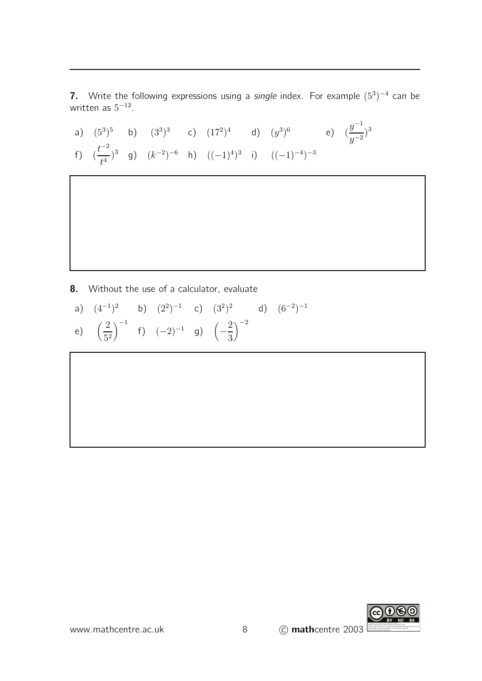7. Write the following expressions using a *single* index. For example  $(5^3)^{-4}$  can be written as  $5^{-12}$ .

a)  $(5^3)^5$  b)  $(3^3)^3$  c)  $(17^2)^4$  d)  $(y^3)^6$  e)  $(\frac{y^{-1}}{-2})$  $\frac{y}{y^{-2}}$ <sup>3</sup> f)  $\left(\frac{t^{-2}}{4}\right)$  $\left(\frac{t}{t^4}\right)^3$  g)  $(k^{-2})^{-6}$  h)  $((-1)^4)^3$  i)  $((-1)^{-4})^{-3}$ 

8. Without the use of a calculator, evaluate

a) 
$$
(4^{-1})^2
$$
 b)  $(2^2)^{-1}$  c)  $(3^2)^2$  d)  $(6^{-2})^{-1}$   
e)  $\left(\frac{2}{5^2}\right)^{-1}$  f)  $(-2)^{-1}$  g)  $\left(-\frac{2}{3}\right)^{-2}$ 

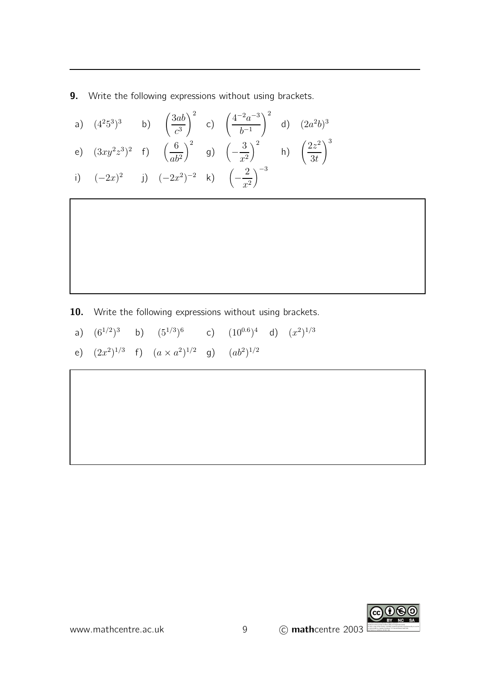**9.** Write the following expressions without using brackets.

|  |  | a) $(4^25^3)^3$ b) $\left(\frac{3ab}{c^3}\right)^2$ c) $\left(\frac{4^{-2}a^{-3}}{b^{-1}}\right)^2$ d) $(2a^2b)^3$          |  |
|--|--|-----------------------------------------------------------------------------------------------------------------------------|--|
|  |  | e) $(3xy^2z^3)^2$ f) $\left(\frac{6}{ab^2}\right)^2$ g) $\left(-\frac{3}{x^2}\right)^2$ h) $\left(\frac{2z^2}{3t}\right)^3$ |  |
|  |  | i) $(-2x)^2$ j) $(-2x^2)^{-2}$ k) $\left(-\frac{2}{x^2}\right)^{-3}$                                                        |  |

10. Write the following expressions without using brackets.

- a)  $(6^{1/2})^3$  b)  $(5^{1/3})^6$ c)  $(10^{0.6})^4$  d)  $(x^2)^{1/3}$
- e)  $(2x^2)^{1/3}$  f)  $(a \times a^2)^{1/2}$  g)  $(ab^2)^{1/2}$

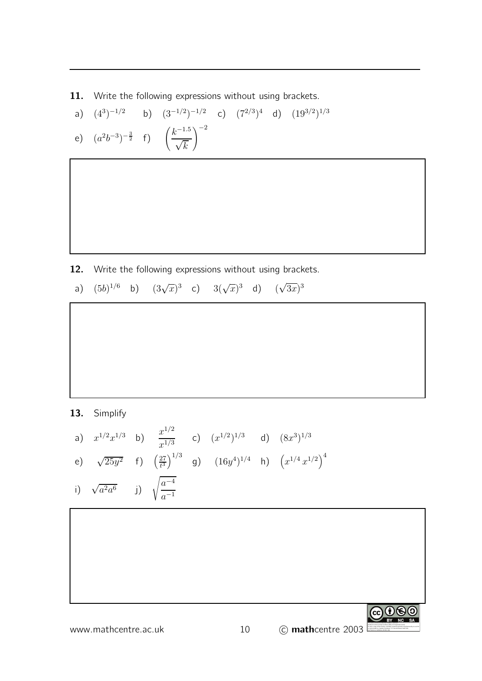11. Write the following expressions without using brackets.

a) 
$$
(4^3)^{-1/2}
$$
 b)  $(3^{-1/2})^{-1/2}$  c)  $(7^{2/3})^4$  d)  $(19^{3/2})^{1/3}$   
e)  $(a^2b^{-3})^{-\frac{3}{2}}$  f)  $\left(\frac{k^{-1.5}}{\sqrt{k}}\right)^{-2}$ 

- 12. Write the following expressions without using brackets.
	- a)  $(5b)^{1/6}$  b)  $(3\sqrt{x})^3$  c)  $3(\sqrt{x})^3$  d)  $(\sqrt{3x})^3$

13. Simplify

a) 
$$
x^{1/2}x^{1/3}
$$
 b)  $\frac{x^{1/2}}{x^{1/3}}$  c)  $(x^{1/2})^{1/3}$  d)  $(8x^3)^{1/3}$   
e)  $\sqrt{25y^2}$  f)  $(\frac{27}{t^3})^{1/3}$  g)  $(16y^4)^{1/4}$  h)  $(x^{1/4}x^{1/2})^4$   
i)  $\sqrt{a^2a^6}$  j)  $\sqrt{\frac{a^{-4}}{a^{-1}}}$ 

CO O SO To view a copy of this license, visit http://creativecommons.org/licenses/by-nc-sa/3.0/ or send a letter to Creative Commons, 171 Second Street, Suite 300, San Francisco, California, 94105, USA.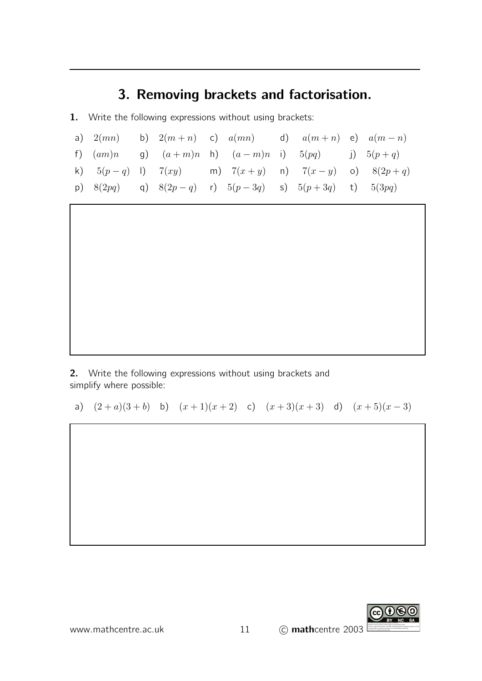# 3. Removing brackets and factorisation.

1. Write the following expressions without using brackets:

|             |  | a) $2(mn)$ b) $2(m+n)$ c) $a(mn)$ d) $a(m+n)$ e) $a(m-n)$   |  |  |
|-------------|--|-------------------------------------------------------------|--|--|
|             |  | f) $(am)n$ g) $(a+m)n$ h) $(a-m)n$ i) $5(pq)$ j) $5(p+q)$   |  |  |
|             |  | k) $5(p-q)$ l) $7(xy)$ m) $7(x+y)$ n) $7(x-y)$ o) $8(2p+q)$ |  |  |
| p) $8(2pq)$ |  | q) $8(2p-q)$ r) $5(p-3q)$ s) $5(p+3q)$ t) $5(3pq)$          |  |  |

2. Write the following expressions without using brackets and simplify where possible:

a)  $(2+a)(3+b)$  b)  $(x+1)(x+2)$  c)  $(x+3)(x+3)$  d)  $(x+5)(x-3)$ 

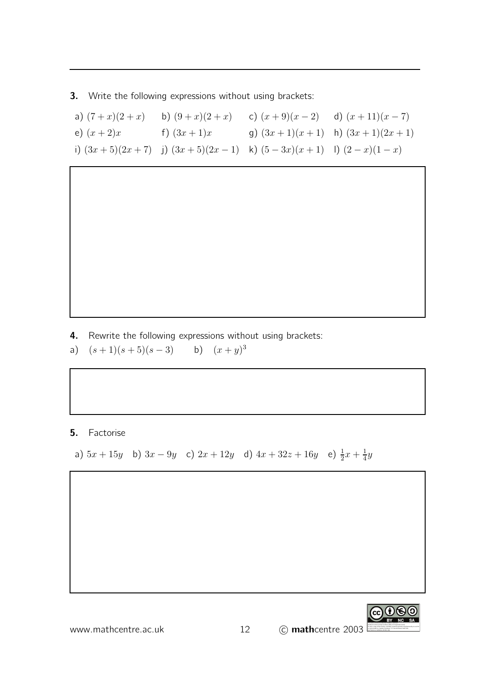3. Write the following expressions without using brackets:

| a) $(7+x)(2+x)$ | b) $(9+x)(2+x)$                                                      | c) $(x+9)(x-2)$ d) $(x+11)(x-7)$ |                                    |
|-----------------|----------------------------------------------------------------------|----------------------------------|------------------------------------|
| e) $(x+2)x$     | f) $(3x+1)x$                                                         |                                  | g) $(3x+1)(x+1)$ h) $(3x+1)(2x+1)$ |
|                 | i) $(3x+5)(2x+7)$ j) $(3x+5)(2x-1)$ k) $(5-3x)(x+1)$ l) $(2-x)(1-x)$ |                                  |                                    |

4. Rewrite the following expressions without using brackets:

a)  $(s+1)(s+5)(s-3)$  b)  $(x+y)^3$ 

#### 5. Factorise

a)  $5x + 15y$  b)  $3x - 9y$  c)  $2x + 12y$  d)  $4x + 32z + 16y$  e)  $\frac{1}{2}x + \frac{1}{4}$  $rac{1}{4}y$ 

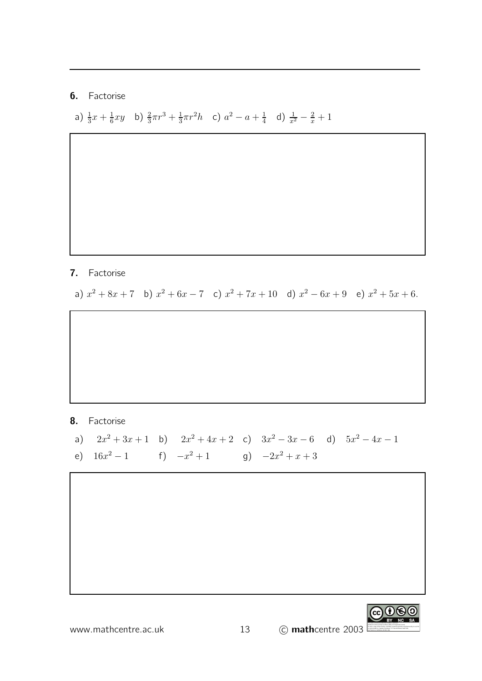#### 6. Factorise

a)  $\frac{1}{3}x + \frac{1}{6}$  $\frac{1}{6}xy$  b)  $\frac{2}{3}\pi r^3 + \frac{1}{3}$  $\frac{1}{3}\pi r^2 h$  c)  $a^2 - a + \frac{1}{4}$  $\frac{1}{4}$  d)  $\frac{1}{x^2} - \frac{2}{x} + 1$ 

#### 7. Factorise

a)  $x^2 + 8x + 7$  b)  $x^2 + 6x - 7$  c)  $x^2 + 7x + 10$  d)  $x^2 - 6x + 9$  e)  $x^2 + 5x + 6$ .

#### 8. Factorise

- a)  $2x^2 + 3x + 1$  b)  $2x^2 + 4x + 2$  c)  $3x^2 3x 6$  d)  $5x^2 4x 1$
- e)  $16x^2 1$  f)  $-x^2 + 1$  g)  $-2x^2 + x + 3$

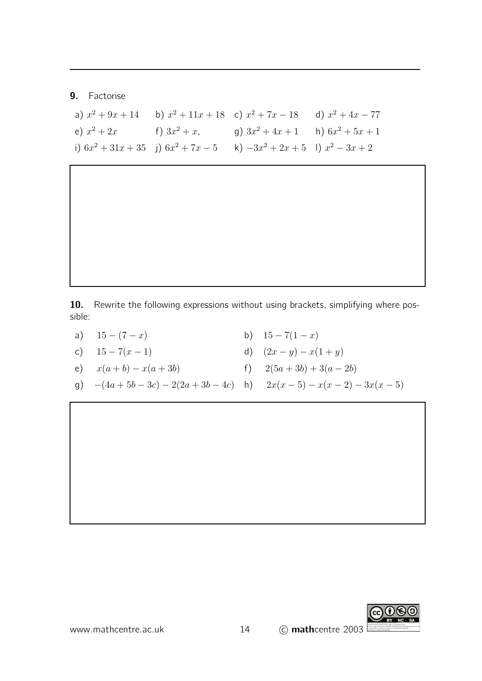#### 9. Factorise

|               |                 | a) $x^2 + 9x + 14$ b) $x^2 + 11x + 18$ c) $x^2 + 7x - 18$ d) $x^2 + 4x - 77$  |  |
|---------------|-----------------|-------------------------------------------------------------------------------|--|
| e) $x^2 + 2x$ | f) $3x^2 + x$ , | g) $3x^2 + 4x + 1$ h) $6x^2 + 5x + 1$                                         |  |
|               |                 | i) $6x^2 + 31x + 35$ j) $6x^2 + 7x - 5$ k) $-3x^2 + 2x + 5$ l) $x^2 - 3x + 2$ |  |

10. Rewrite the following expressions without using brackets, simplifying where possible:

- a)  $15 (7 x)$ <br>b)  $15 7(1 x)$ <br>c)  $15 7(x 1)$ <br>d)  $(2x y) x($
- d)  $(2x y) x(1 + y)$
- e)  $x(a + b) x(a + 3b)$  f)  $2(5a + 3b) + 3(a 2b)$
- g)  $-(4a + 5b 3c) 2(2a + 3b 4c)$  h)  $2x(x 5) x(x 2) 3x(x 5)$

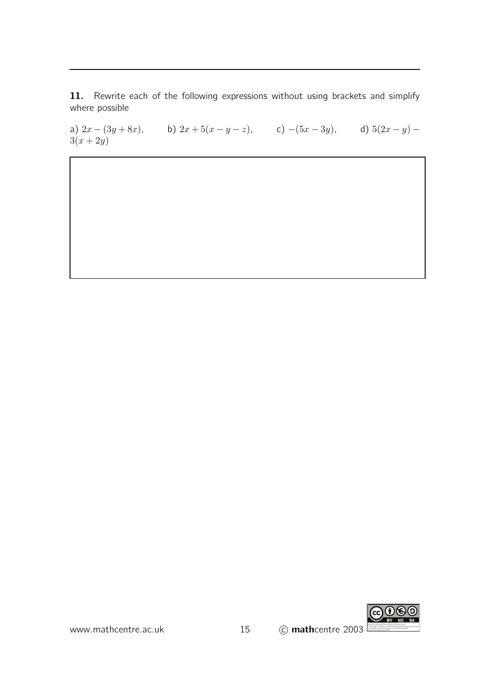11. Rewrite each of the following expressions without using brackets and simplify where possible

a)  $2x - (3y + 8x)$ , b)  $2x + 5(x - y - z)$ , c)  $-(5x - 3y)$ , d)  $5(2x - y)$  –  $3(x + 2y)$ 

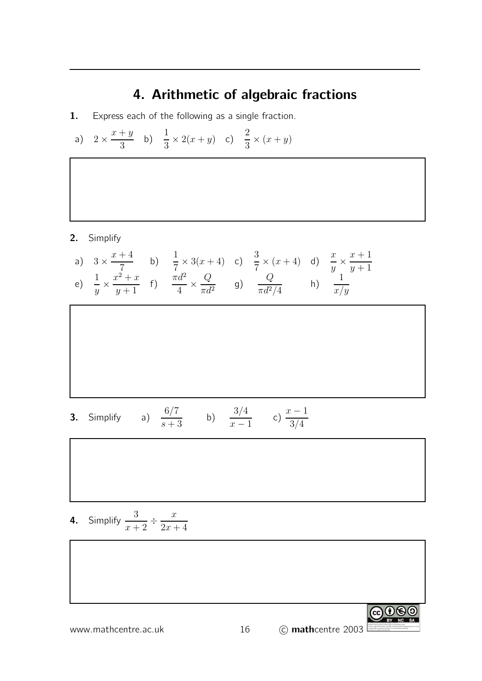# 4. Arithmetic of algebraic fractions

- 1. Express each of the following as a single fraction.
- a)  $2 \times \frac{x+y}{3}$ 3 b)  $\frac{1}{2}$  $\frac{1}{3} \times 2(x+y)$  c)  $\frac{2}{3} \times (x+y)$

2. Simplify

a) 
$$
3 \times \frac{x+4}{7}
$$
 b)  $\frac{1}{7} \times 3(x+4)$  c)  $\frac{3}{7} \times (x+4)$  d)  $\frac{x}{y} \times \frac{x+1}{y+1}$   
e)  $\frac{1}{y} \times \frac{x^2+x}{y+1}$  f)  $\frac{\pi d^2}{4} \times \frac{Q}{\pi d^2}$  g)  $\frac{Q}{\pi d^2/4}$  h)  $\frac{1}{x/y}$ 

**3.** Simplify a) 
$$
\frac{6/7}{s+3}
$$
 b)  $\frac{3/4}{x-1}$  c)  $\frac{x-1}{3/4}$ 

4. Simplify 
$$
\frac{3}{x+2} \div \frac{x}{2x+4}
$$

$$
\begin{array}{|c|c|}\n\hline\n\text{www.mathcentre.ac.uk} & 16 & \textcircled{c} \text{mathcentre } 2003\n\end{array}
$$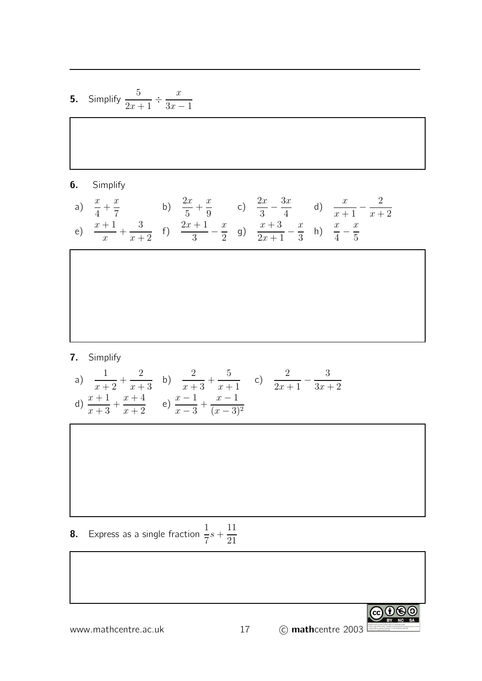5. Simplify 
$$
\frac{5}{2x+1} \div \frac{x}{3x-1}
$$

#### 6. Simplify

a) 
$$
\frac{x}{4} + \frac{x}{7}
$$
 b)  $\frac{2x}{5} + \frac{x}{9}$  c)  $\frac{2x}{3} - \frac{3x}{4}$  d)  $\frac{x}{x+1} - \frac{2}{x+2}$   
e)  $\frac{x+1}{x} + \frac{3}{x+2}$  f)  $\frac{2x+1}{3} - \frac{x}{2}$  g)  $\frac{x+3}{2x+1} - \frac{x}{3}$  h)  $\frac{x}{4} - \frac{x}{5}$ 

#### 7. Simplify

a) 
$$
\frac{1}{x+2} + \frac{2}{x+3}
$$
 b)  $\frac{2}{x+3} + \frac{5}{x+1}$  c)  $\frac{2}{2x+1} - \frac{3}{3x+2}$   
d)  $\frac{x+1}{x+3} + \frac{x+4}{x+2}$  e)  $\frac{x-1}{x-3} + \frac{x-1}{(x-3)^2}$ 

**8.** Express as a single fraction  $\frac{1}{5}$ 7  $s +$ 11 21

www.mathcentre.ac.uk 17 c mathcentre 2003

CO O SO To view a copy of this license, visit http://creativecommons.org/licenses/by-nc-sa/3.0/ or send a letter to Creative Commons, 171 Second Street, Suite 300, San Francisco, California, 94105, USA.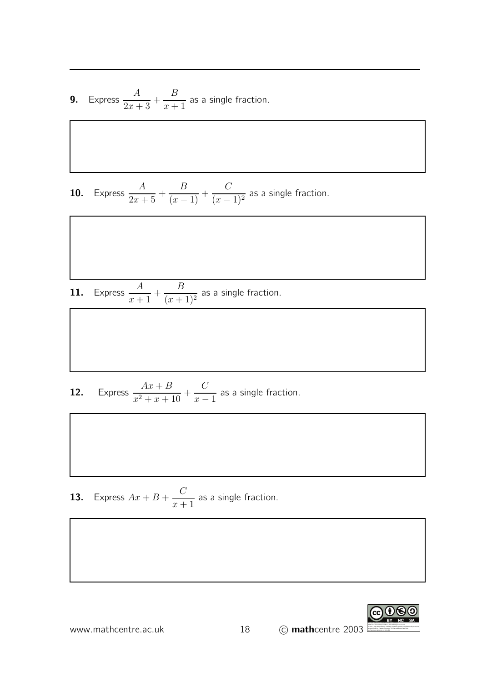**9.** Express  $\frac{A}{2}$  $2x + 3$  $+$ B  $x + 1$ as a single fraction.

**10.** Express  $\frac{A}{2}$  $2x + 5$  $+$ B  $\frac{2}{(x-1)} +$  $\mathcal{C}_{0}^{(n)}$  $(x - 1)^2$ as a single fraction.

**11.** Express  $\frac{A}{A}$  $x + 1$  $+$ B  $(x+1)^2$ as a single fraction.

**12.** Express  $\frac{Ax+B}{2}$  $\frac{1}{x^2+x+10} +$  $\mathcal{C}_{0}^{(n)}$  $x - 1$ as a single fraction.

**13.** Express  $Ax + B + \frac{C}{A}$  $x + 1$ as a single fraction.



www.mathcentre.ac.uk 18 (C) mathcentre 2003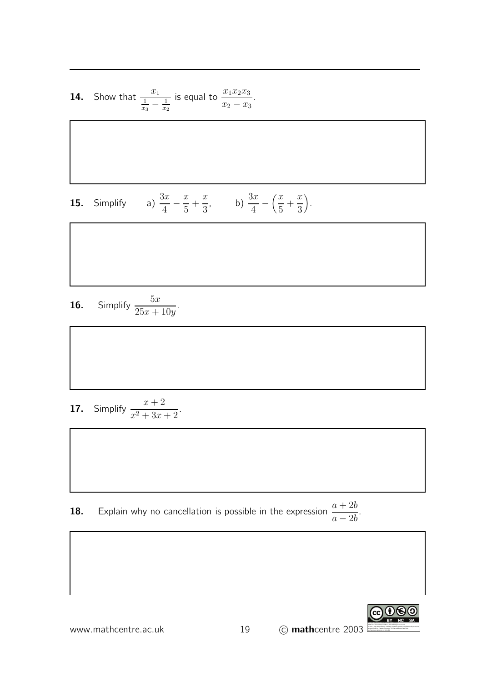**14.** Show that  $\frac{x_1}{1-x_1}$  $\frac{1}{x_3} - \frac{1}{x_2}$  $\overline{x_2}$ is equal to  $\frac{x_1x_2x_3}{x_1x_2x_3}$  $x_2 - x_3$ .

**15.** Simplify a) 
$$
\frac{3x}{4} - \frac{x}{5} + \frac{x}{3}
$$
, b)  $\frac{3x}{4} - (\frac{x}{5} + \frac{x}{3})$ .

**16.** Simplify 
$$
\frac{5x}{25x + 10y}
$$
.

**17.** Simplify  $\frac{x+2}{x+2}$  $x^2 + 3x + 2$ .

**18.** Explain why no cancellation is possible in the expression  $\frac{a+2b}{2}$  $a-2b$ .



www.mathcentre.ac.uk  $\sim$  19 (C) mathcentre 2003

To view a copy of this license, visit http://creativecommons.org/licenses/by-nc-sa/3.0/ or send a letter to Creative Commons, 171 Second Street, Suite 300, San Francisco, California, 94105, USA.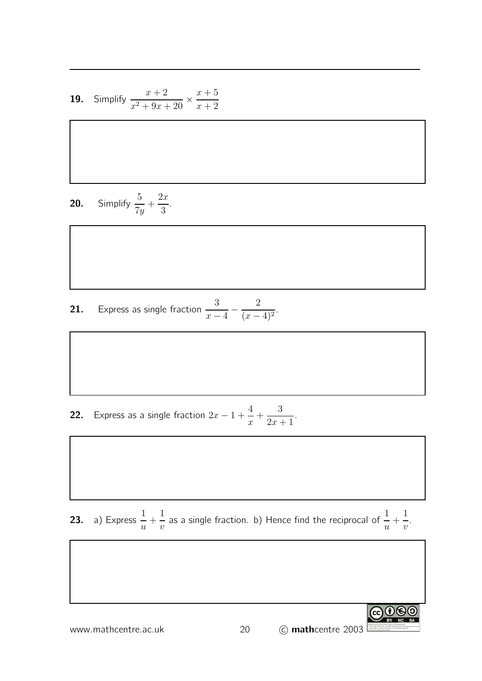**19.** Simplify 
$$
\frac{x+2}{x^2+9x+20} \times \frac{x+5}{x+2}
$$

$$
20. \qquad \text{Simplify } \frac{5}{7y} + \frac{2x}{3}.
$$

**21.** Express as single fraction  $\frac{3}{2}$  $\overline{x-4}$  – 2  $\frac{2}{(x-4)^2}$ .

**22.** Express as a single fraction  $2x - 1 + \frac{4}{x}$  $\boldsymbol{x}$  $+$ 3  $2x + 1$ .

**23.** a) Express  $\frac{1}{1}$  $\overline{u}$  $+$ 1  $\overline{v}$ as a single fraction. b) Hence find the reciprocal of  $\frac{1}{-}$  $\overline{u}$  $+$ 1  $\overline{v}$ .

www.mathcentre.ac.uk 20 C mathcentre 2003

GO OSO To view a copy of this license, visit http://creativecommons.org/licenses/by-nc-sa/3.0/ or send a letter to Creative Commons, 171 Second Street, Suite 300,

San Francisco, California, 94105, USA.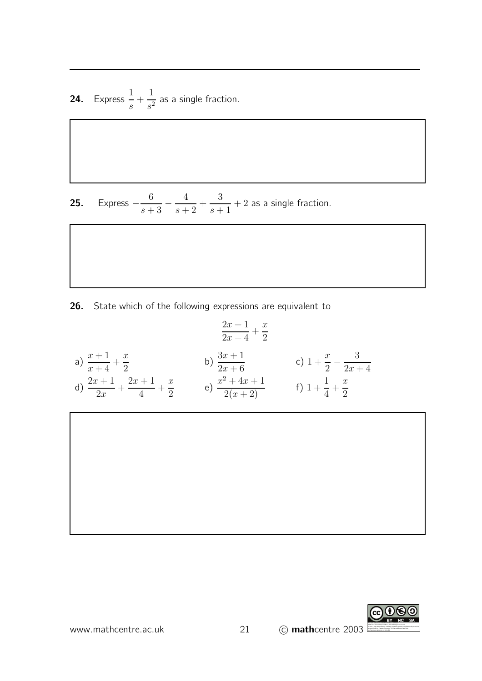**24.** Express  $\frac{1}{1}$ s  $+$ 1  $\frac{1}{s^2}$  as a single fraction.

**25.** Express  $-\frac{6}{s+1}$  $\frac{s+3}{}$ 4  $s+2$  $+$ 3  $s+1$  $+ 2$  as a single fraction.

26. State which of the following expressions are equivalent to

a) 
$$
\frac{x+1}{x+4} + \frac{x}{2}
$$
  
\na) 
$$
\frac{x+1}{x+4} + \frac{x}{2}
$$
  
\nb) 
$$
\frac{3x+1}{2x+6}
$$
  
\nc) 
$$
1 + \frac{x}{2} - \frac{3}{2x+4}
$$
  
\nd) 
$$
\frac{2x+1}{2x} + \frac{2x+1}{4} + \frac{x}{2}
$$
  
\ne) 
$$
\frac{x^2 + 4x + 1}{2(x+2)}
$$
  
\nf) 
$$
1 + \frac{1}{4} + \frac{x}{2}
$$

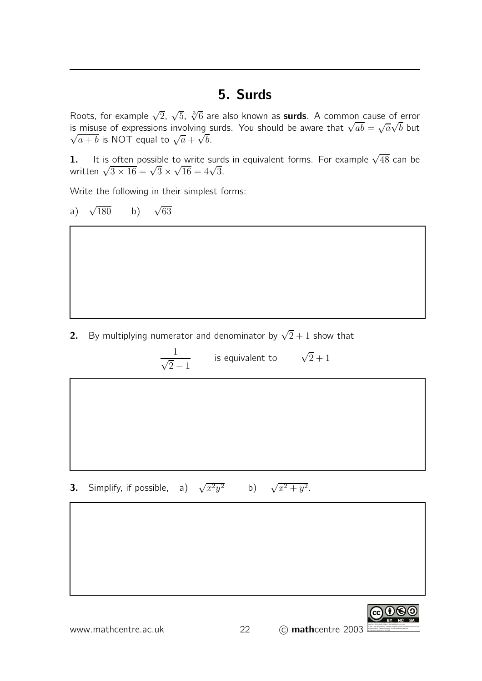### 5. Surds

Roots, for example  $\sqrt{2}$ ,  $\sqrt{5}$ ,  $\sqrt[3]{6}$  are also known as **surds**. A common cause of error is misuse of expressions involving surds. You should be aware that  $\sqrt{ab} = \sqrt{a}\sqrt{b}$  but  $\sqrt{a+b}$  is NOT equal to  $\sqrt{a} + \sqrt{b}$ .

1. It is often possible to write surds in equivalent forms. For example  $\sqrt{48}$  can be written  $\sqrt{3 \times 16} = \sqrt{3} \times \sqrt{16} = 4\sqrt{3}$ .

Write the following in their simplest forms:

a) 
$$
\sqrt{180}
$$
 b)  $\sqrt{63}$ 

2. By multiplying numerator and denominator by  $\sqrt{2}+1$  show that

1  $\sqrt{2}-1$ is equivalent to  $\sqrt{2}+1$ 

**3.** Simplify, if possible, a)  $\sqrt{x^2y^2}$  b)  $\sqrt{x^2 + y^2}$ .

To view a copy of this license, visit http://creativecommons.org/licenses/by-nc-sa/3.0/ or send a letter to Creative Commons, 171 Second Street, Suite 300, San Francisco, California, 94105, USA.

ெ⊕ெ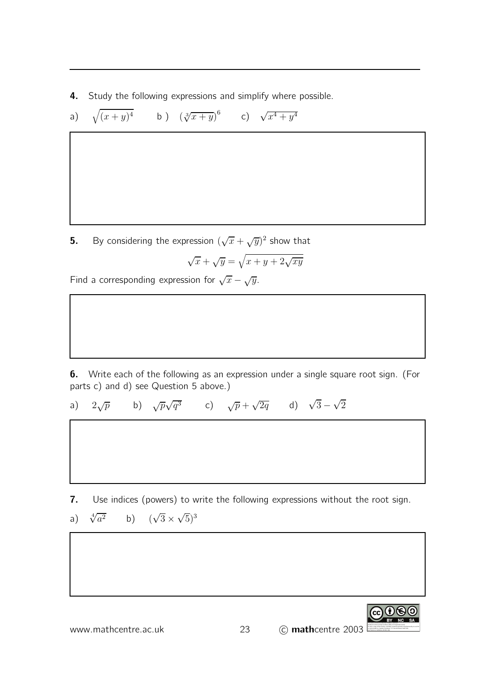4. Study the following expressions and simplify where possible.

 $\overline{6}$ 

a) 
$$
\sqrt{(x+y)^4}
$$
 b)  $(\sqrt[3]{x+y})^6$  c)  $\sqrt{x^4+y^4}$ 

**5.** By considering the expression  $(\sqrt{x} + \sqrt{y})^2$  show that  $\sqrt{x} + \sqrt{y} = \sqrt{x + y + 2\sqrt{xy}}$ 

Find a corresponding expression for  $\sqrt{x} - \sqrt{y}$ .

6. Write each of the following as an expression under a single square root sign. (For parts c) and d) see Question 5 above.)

a)  $2\sqrt{p}$  $\sqrt{p}$  b)  $\sqrt{p}\sqrt{q^3}$  c)  $\sqrt{p} + \sqrt{2q}$  d)  $\sqrt{3} - \sqrt{2}$ 

7. Use indices (powers) to write the following expressions without the root sign.

a) 
$$
\sqrt[4]{a^2}
$$
 b)  $(\sqrt{3} \times \sqrt{5})^3$ 

www.mathcentre.ac.uk 23 C mathcentre 2003

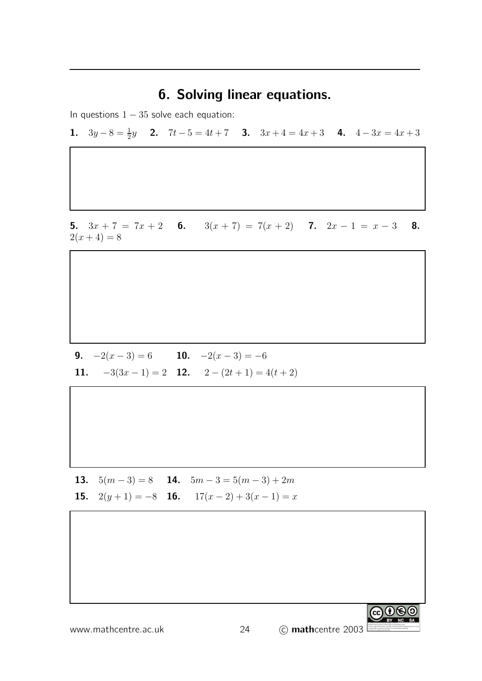### 6. Solving linear equations.

In questions  $1 - 35$  solve each equation:

**1.**  $3y - 8 = \frac{1}{2}y$  **2.**  $7t - 5 = 4t + 7$  **3.**  $3x + 4 = 4x + 3$  **4.**  $4 - 3x = 4x + 3$ 

5.  $3x + 7 = 7x + 2$  6.  $3(x + 7) = 7(x + 2)$  7.  $2x - 1 = x - 3$  8.  $2(x+4) = 8$ 

**9.**  $-2(x-3) = 6$  **10.**  $-2(x-3) = -6$ 11.  $-3(3x-1) = 2$  12.  $2 - (2t+1) = 4(t+2)$ 

13.  $5(m-3) = 8$  14.  $5m-3 = 5(m-3)+2m$ **15.**  $2(y+1) = -8$  **16.**  $17(x-2) + 3(x-1) = x$ 

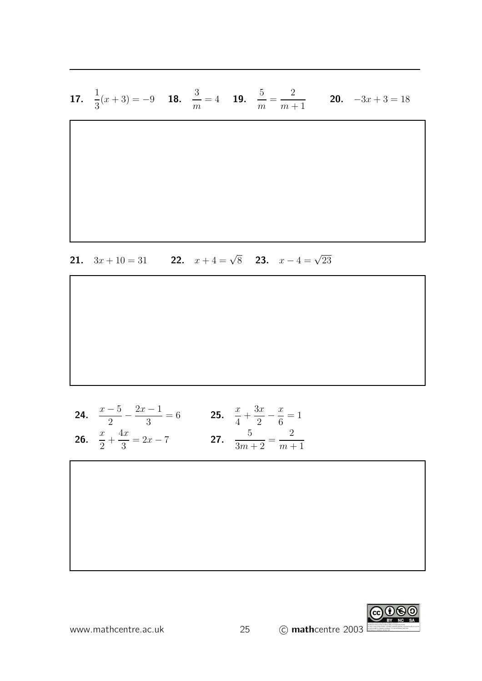**17.** 
$$
\frac{1}{3}(x+3) = -9
$$
 **18.**  $\frac{3}{m} = 4$  **19.**  $\frac{5}{m} = \frac{2}{m+1}$  **20.**  $-3x+3 = 18$ 

**21.** 
$$
3x + 10 = 31
$$
 **22.**  $x + 4 = \sqrt{8}$  **23.**  $x - 4 = \sqrt{23}$ 

**24.** 
$$
\frac{x-5}{2} - \frac{2x-1}{3} = 6
$$
 **25.**  $\frac{x}{4} + \frac{3x}{2} - \frac{x}{6} = 1$   
\n**26.**  $\frac{x}{2} + \frac{4x}{3} = 2x - 7$  **27.**  $\frac{5}{3m+2} = \frac{2}{m+1}$ 

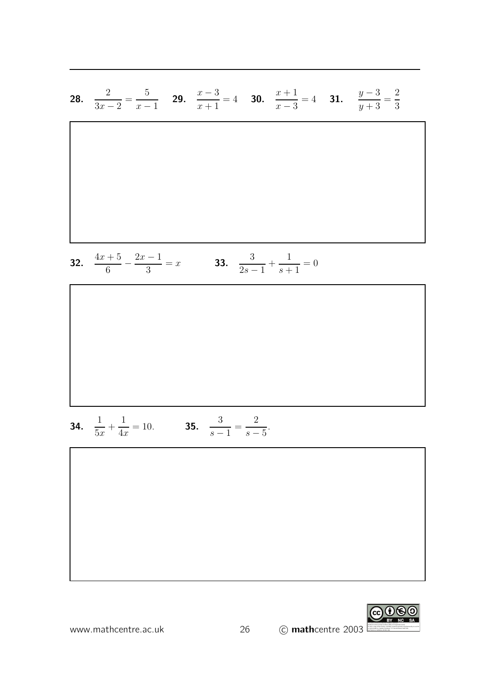**28.** 
$$
\frac{2}{3x-2} = \frac{5}{x-1}
$$
 **29.**  $\frac{x-3}{x+1} = 4$  **30.**  $\frac{x+1}{x-3} = 4$  **31.**  $\frac{y-3}{y+3} = \frac{2}{3}$ 

**32.** 
$$
\frac{4x+5}{6} - \frac{2x-1}{3} = x
$$
**33.** 
$$
\frac{3}{2s-1} + \frac{1}{s+1} = 0
$$

**34.** 
$$
\frac{1}{5x} + \frac{1}{4x} = 10.
$$
 **35.**  $\frac{3}{s-1} = \frac{2}{s-5}.$ 

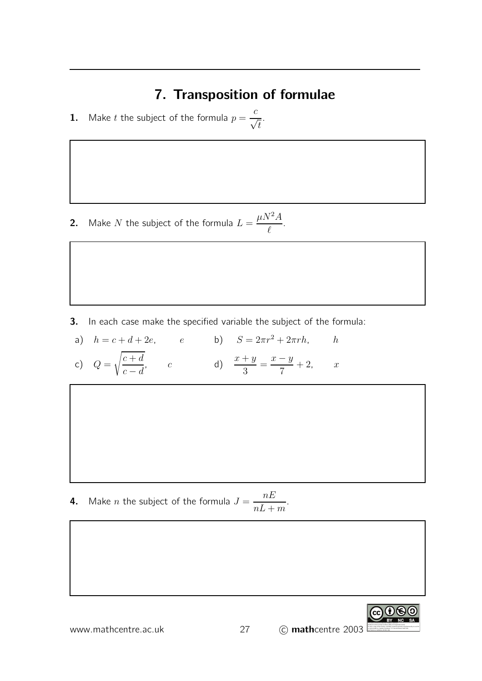# 7. Transposition of formulae

**1.** Make t the subject of the formula  $p = \frac{c}{\sqrt{2}}$  $\sqrt{t}$ .

**2.** Make N the subject of the formula  $L =$  $\mu N^2A$  $\ell$ .

3. In each case make the specified variable the subject of the formula:

a)  $h = c + d + 2e$ ,  $e$  b)  $S = 2\pi r^2 + 2\pi rh$ , h

c)  $Q=$  $c + d$  $c - d$ , c d)  $\frac{x+y}{2}$ 3  $=\frac{x-y}{z}$ 7  $+ 2,$   $x$ 

**4.** Make  $n$  the subject of the formula  $J = \frac{nE}{I}$  $nL+m$ .

www.mathcentre.ac.uk 27

$$
\bigodot_{\text{BV} \text{NC} \text{SA}} \bigodot_{\text{SA}}
$$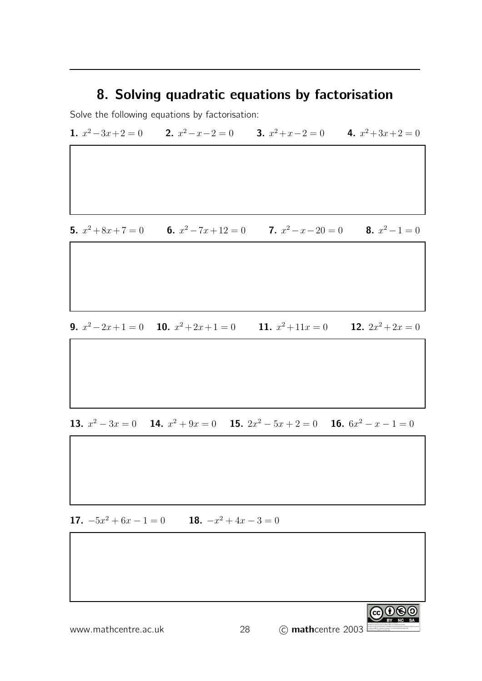### 8. Solving quadratic equations by factorisation

Solve the following equations by factorisation:

1.  $x^2-3x+2=0$  2.  $x^2-x-2=0$  3.  $x^2+x-2=0$  4.  $x^2+3x+2=0$ 

**5.**  $x^2 + 8x + 7 = 0$  **6.**  $x^2 - 7x + 12 = 0$  **7.**  $x^2 - x - 20 = 0$  **8.**  $x^2 - 1 = 0$ 

**9.**  $x^2-2x+1=0$  **10.**  $x^2+2x+1=0$  **11.** x 11.  $x^2 + 11x = 0$ 12.  $2x^2 + 2x = 0$ 

13.  $x^2 - 3x = 0$  14.  $x^2 + 9x = 0$  15.  $2x^2 - 5x + 2 = 0$  16.  $6x^2 - x - 1 = 0$ 

**17.**  $-5x^2 + 6x - 1 = 0$  **18.**  $-x^2 + 4x - 3 = 0$ 

| www.mathcentre.ac.uk | 28 | BY<br><b>NC</b><br><b>SA</b><br>This work is bore and under the Creative Commons<br>Attribution-Noncommercial-Share Alike 10 Unported License.<br>remeans remeabilitation Max Alta 10 Unported Library<br>To view 2 copy of this license, with http://traditionsmosco.org/issesse.by-to-ca/LO/<br>Lic cend a letter to Creative Commons, 171 Second Sovet, Suite 300,<br>San Francisco, C<br>C mathcentre 2003 |
|----------------------|----|----------------------------------------------------------------------------------------------------------------------------------------------------------------------------------------------------------------------------------------------------------------------------------------------------------------------------------------------------------------------------------------------------------------|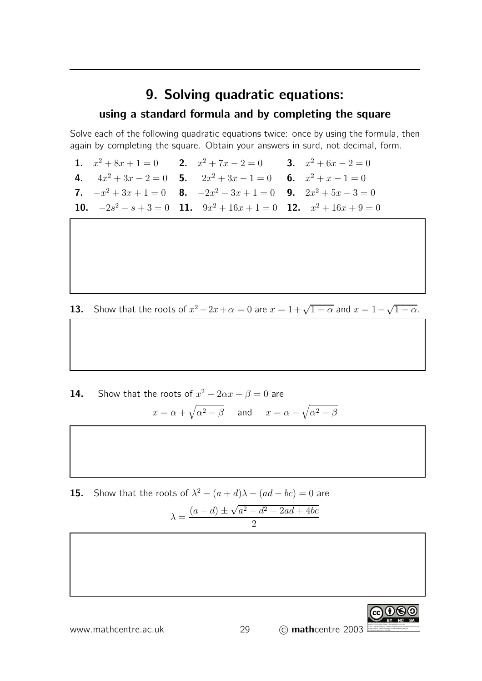### 9. Solving quadratic equations:

#### using a standard formula and by completing the square

Solve each of the following quadratic equations twice: once by using the formula, then again by completing the square. Obtain your answers in surd, not decimal, form.

**1.**  $x^2 + 8x + 1 = 0$  **2.**  $x^2 + 7x - 2 = 0$  **3.**  $x^2 + 6x - 2 = 0$ 4.  $4x^2 + 3x - 2 = 0$  5.  $2x^2 + 3x - 1 = 0$  6.  $x^2 + x - 1 = 0$ 7.  $-x^2 + 3x + 1 = 0$  8.  $-2x^2 - 3x + 1 = 0$  9.  $2x^2 + 5x - 3 = 0$ 10.  $-2s^2 - s + 3 = 0$  11.  $9x^2 + 16x + 1 = 0$  12.  $x^2 + 16x + 9 = 0$ 

**13.** Show that the roots of  $x^2 - 2x + \alpha = 0$  are  $x = 1 + \sqrt{1 - \alpha}$  and  $x = 1 - \sqrt{1 - \alpha}$ .

**14.** Show that the roots of  $x^2 - 2\alpha x + \beta = 0$  are  $x = \alpha + \sqrt{\alpha^2 - \beta}$  and  $x = \alpha - \sqrt{\alpha^2 - \beta}$ 

**15.** Show that the roots of  $\lambda^2 - (a+d)\lambda + (ad-bc) = 0$  are  $\lambda = \frac{(a+d) \pm \sqrt{a^2 + d^2 - 2ad + 4bc}}{2}$ 2

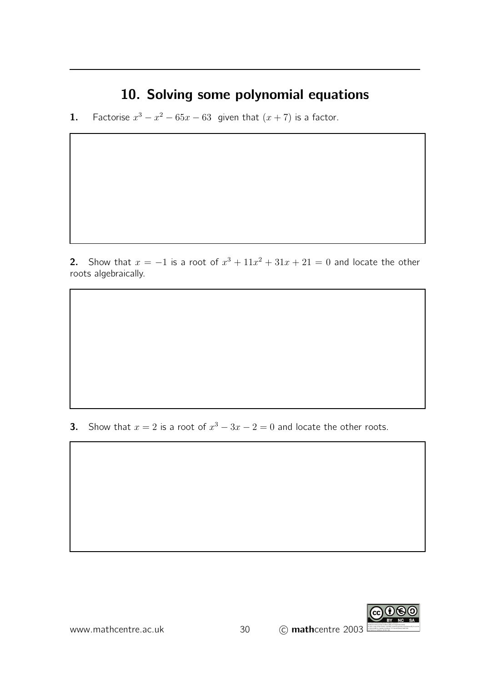# 10. Solving some polynomial equations

**1.** Factorise  $x^3 - x^2 - 65x - 63$  given that  $(x + 7)$  is a factor.

2. Show that  $x = -1$  is a root of  $x^3 + 11x^2 + 31x + 21 = 0$  and locate the other roots algebraically.

**3.** Show that  $x = 2$  is a root of  $x^3 - 3x - 2 = 0$  and locate the other roots.

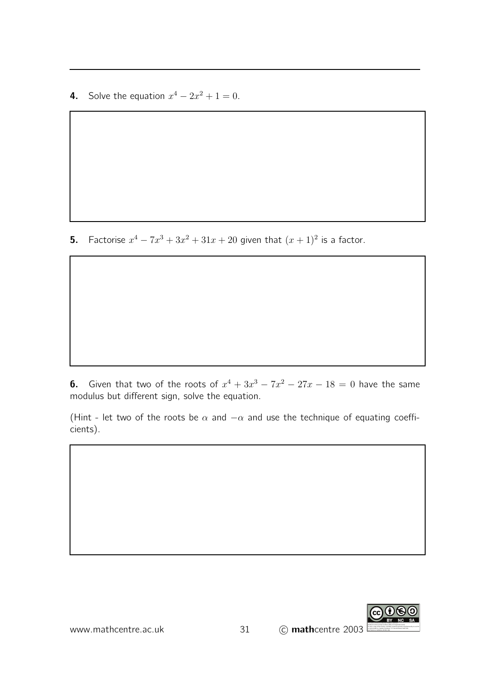**4.** Solve the equation  $x^4 - 2x^2 + 1 = 0$ .

**5.** Factorise  $x^4 - 7x^3 + 3x^2 + 31x + 20$  given that  $(x + 1)^2$  is a factor.

**6.** Given that two of the roots of  $x^4 + 3x^3 - 7x^2 - 27x - 18 = 0$  have the same modulus but different sign, solve the equation.

(Hint - let two of the roots be  $\alpha$  and  $-\alpha$  and use the technique of equating coefficients).

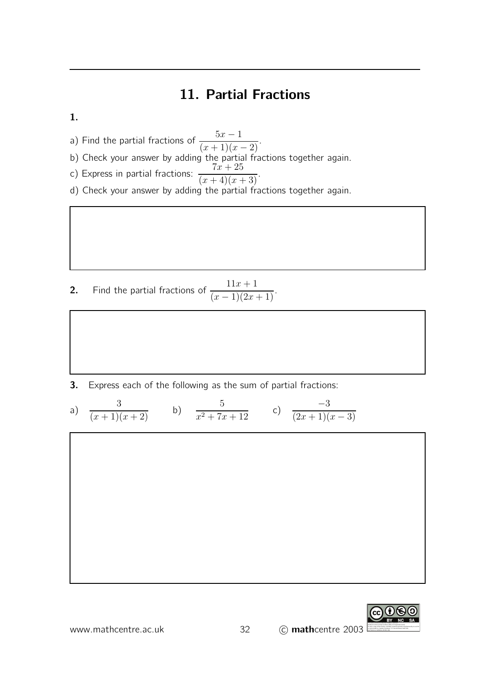# 11. Partial Fractions

#### 1.

a) Find the partial fractions of  $\frac{5x-1}{(x+1)(x-2)}$ .

- 
- b) Check your answer by adding the partial fractions together again.
- c) Express in partial fractions:  $\frac{7x+25}{(x+4)(x+3)}$ .
- d) Check your answer by adding the partial fractions together again.

**2.** Find the partial fractions of  $\frac{11x+1}{(x-1)(2x+1)}$ .

3. Express each of the following as the sum of partial fractions:

a) 
$$
\frac{3}{(x+1)(x+2)}
$$
 b)  $\frac{5}{x^2+7x+12}$  c)  $\frac{-3}{(2x+1)(x-3)}$ 

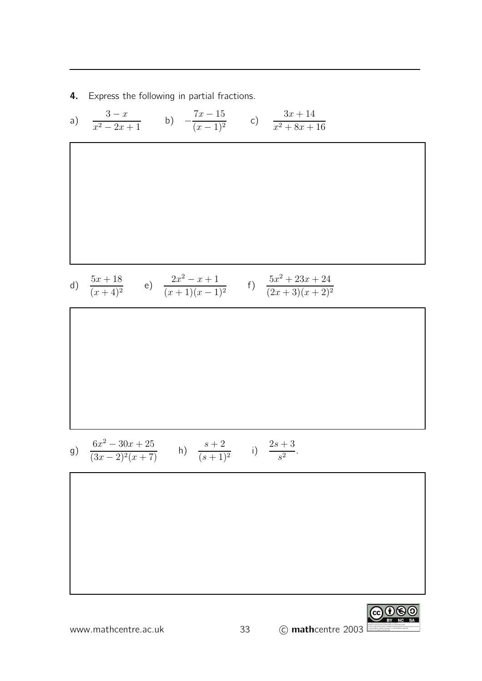4. Express the following in partial fractions.

a) 
$$
\frac{3-x}{x^2-2x+1}
$$
 b)  $-\frac{7x-15}{(x-1)^2}$  c)  $\frac{3x+14}{x^2+8x+16}$   
\n  
\n $\frac{5x+18}{(x+4)^2}$  e)  $\frac{2x^2-x+1}{(x+1)(x-1)^2}$  f)  $\frac{5x^2+23x+24}{(2x+3)(x+2)^2}$   
\n  
\n $\frac{5x^2-30x+25}{(3x-2)^2(x+7)}$  h)  $\frac{s+2}{(s+1)^2}$  i)  $\frac{2s+3}{s^2}$ 

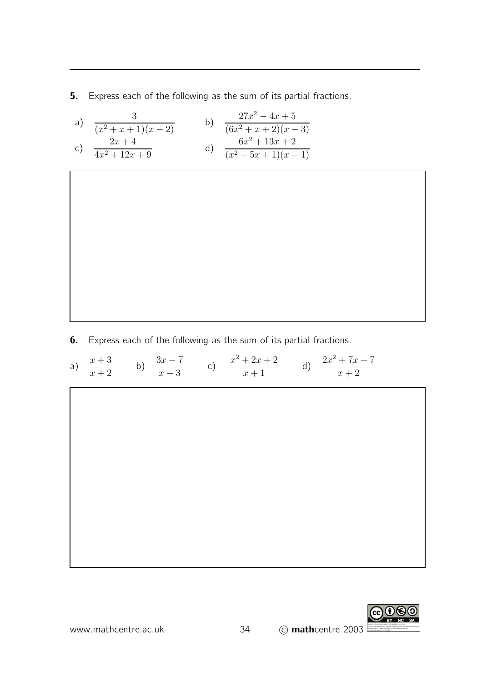**5.** Express each of the following as the sum of its partial fractions.

a) 
$$
\frac{3}{(x^2 + x + 1)(x - 2)}
$$
  
b)  $\frac{27x^2 - 4x + 5}{(6x^2 + x + 2)(x - 3)}$   
c)  $\frac{2x + 4}{4x^2 + 12x + 9}$   
d)  $\frac{6x^2 + 13x + 2}{(x^2 + 5x + 1)(x - 1)}$ 

**6.** Express each of the following as the sum of its partial fractions.

a) 
$$
\frac{x+3}{x+2}
$$
 b)  $\frac{3x-7}{x-3}$  c)  $\frac{x^2+2x+2}{x+1}$  d)  $\frac{2x^2+7x+7}{x+2}$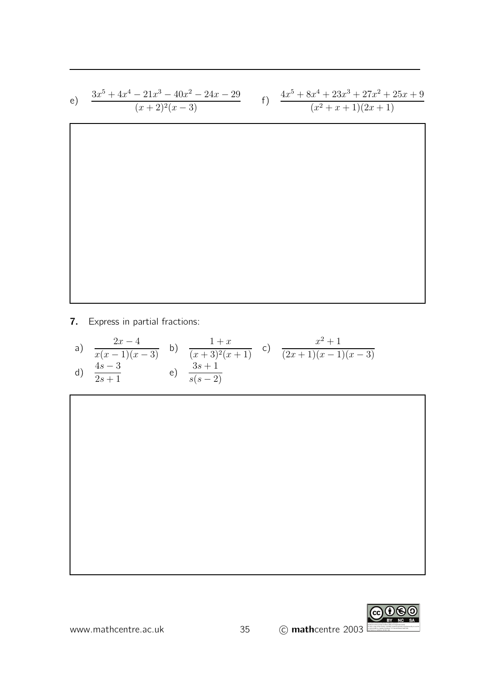e) 
$$
\frac{3x^5 + 4x^4 - 21x^3 - 40x^2 - 24x - 29}{(x+2)^2(x-3)}
$$
f) 
$$
\frac{4x^5 + 8x^4 + 23x^3 + 27x^2 + 25x + 9}{(x^2 + x + 1)(2x + 1)}
$$

7. Express in partial fractions:

a) 
$$
\frac{2x-4}{x(x-1)(x-3)}
$$
 b)  $\frac{1+x}{(x+3)^2(x+1)}$  c)  $\frac{x^2+1}{(2x+1)(x-1)(x-3)}$   
d)  $\frac{4s-3}{2s+1}$  e)  $\frac{3s+1}{s(s-2)}$ 



www.mathcentre.ac.uk 35 C mathcentre 2003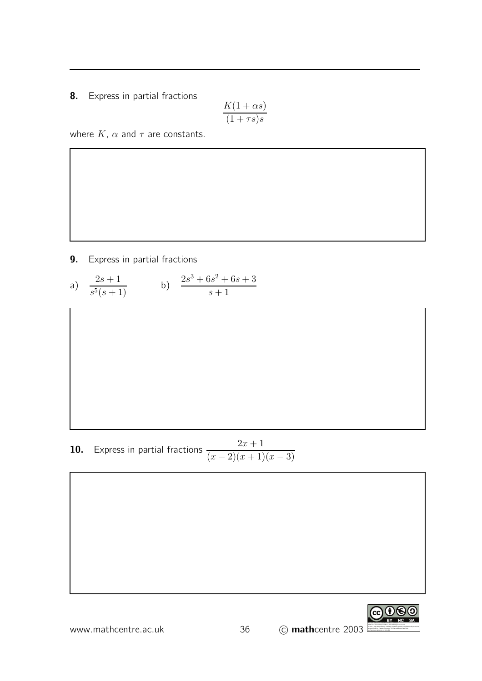8. Express in partial fractions

$$
\frac{K(1+\alpha s)}{(1+\tau s)s}
$$

where  $K$ ,  $\alpha$  and  $\tau$  are constants.

9. Express in partial fractions

a) 
$$
\frac{2s+1}{s^5(s+1)}
$$
 b)  $\frac{2s^3+6s^2+6s+3}{s+1}$ 

**10.** Express in partial fractions  $\frac{2x+1}{2x+1}$  $(x-2)(x+1)(x-3)$ 

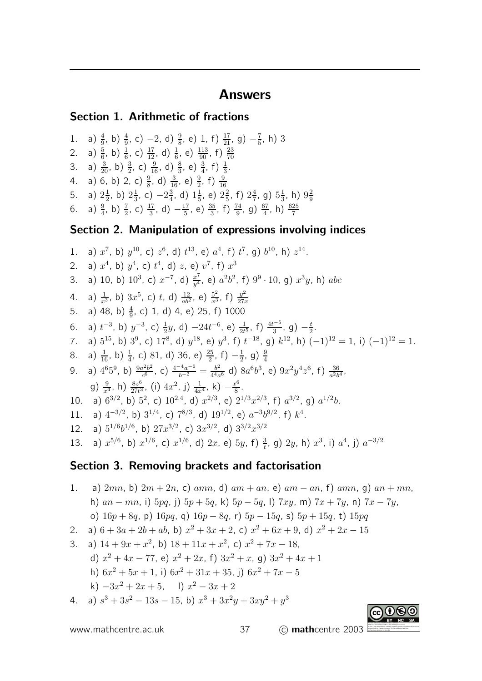### Answers

#### Section 1. Arithmetic of fractions

1. a)  $\frac{4}{9}$ , b)  $\frac{4}{9}$ , c) -2, d)  $\frac{9}{8}$ , e) 1, f)  $\frac{17}{21}$ , g)  $-\frac{7}{5}$  $(\frac{7}{5}, h)$  3 2. a)  $\frac{5}{6}$ , b)  $\frac{1}{6}$ , c)  $\frac{17}{12}$ , d)  $\frac{1}{6}$ , e)  $\frac{113}{90}$ , f)  $\frac{23}{70}$ 3. a)  $\frac{3}{20}$ , b)  $\frac{3}{2}$ , c)  $\frac{9}{16}$ , d)  $\frac{8}{3}$ , e)  $\frac{3}{4}$ , f)  $\frac{1}{3}$ . 4. a) 6, b) 2, c)  $\frac{9}{8}$ , d)  $\frac{3}{16}$ , e)  $\frac{9}{2}$ , f)  $\frac{9}{16}$ 5. a)  $2\frac{1}{2}$  $(\frac{1}{2}, b)$   $2\frac{1}{3}$  $(\frac{1}{3}, c) -2\frac{3}{4}$  $\frac{3}{4}$ , d)  $1\frac{1}{5}$  $(\frac{1}{5}, e) 2\frac{2}{5}$  $\frac{2}{5}$ , f)  $2\frac{4}{7}$  $\frac{4}{7}$ , g)  $5\frac{1}{3}$  $\frac{1}{3}$ , h)  $9\frac{2}{9}$ 9 6. a)  $\frac{9}{4}$ , b)  $\frac{7}{2}$ , c)  $\frac{17}{3}$ , d)  $-\frac{17}{5}$  $\frac{17}{5}$ , e)  $\frac{35}{3}$ , f)  $\frac{74}{9}$ , g)  $\frac{67}{4}$ , h)  $\frac{625}{7}$ 

#### Section 2. Manipulation of expressions involving indices

1. a)  $x^7$ , b)  $y^{10}$ , c)  $z^6$ , d)  $t^{13}$ , e)  $a^4$ , f)  $t^7$ , g)  $b^{10}$ , h)  $z^{14}$ . 2. a)  $x^4$ , b)  $y^4$ , c)  $t^4$ , d)  $z$ , e)  $v^7$ , f)  $x^3$ 3. a) 10, b)  $10^3$ , c)  $x^{-7}$ , d)  $\frac{x^7}{y^4}$  $\frac{x^7}{y^4}$ , e)  $a^2b^2$ , f)  $9^9 \cdot 10$ , g)  $x^3y$ , h)  $abc$ 4. a)  $\frac{1}{x^3}$ , b)  $3x^5$ , c) t, d)  $\frac{12}{ab^2}$ , e)  $\frac{5^2}{x^3}$ , f)  $\frac{y^2}{27}$ 27x 5. a) 48, b)  $\frac{4}{9}$ , c) 1, d) 4, e) 25, f) 1000 6. a)  $t^{-3}$ , b)  $y^{-3}$ , c)  $\frac{1}{2}y$ , d)  $-24t^{-6}$ , e)  $\frac{1}{2t^5}$ , f)  $\frac{4t^{-5}}{3}$  $\frac{1}{3}$ , g)  $-\frac{t}{2}$  $rac{t}{2}$ . 7. a)  $5^{15}$ , b)  $3^9$ , c)  $17^8$ , d)  $y^{18}$ , e)  $y^3$ , f)  $t^{-18}$ , g)  $k^{12}$ , h)  $(-1)^{12} = 1$ , i)  $(-1)^{12} = 1$ . 8. a)  $\frac{1}{16}$ , b)  $\frac{1}{4}$ , c) 81, d) 36, e)  $\frac{25}{2}$ , f)  $-\frac{1}{2}$  $\frac{1}{2}$ , g)  $\frac{9}{4}$ 9. a)  $4^6 5^9$ , b)  $\frac{9a^2b^2}{c^6}$  $\frac{a^2b^2}{c^6}$ , C)  $\frac{4^{-4}a^{-6}}{b^{-2}} = \frac{b^2}{4^4a}$  $\frac{b^2}{4^4 a^6}$  d)  $8a^6b^3$ , e)  $9x^2y^4z^6$ , f)  $\frac{36}{a^2b^4}$ , g)  $\frac{9}{x^4}$ , h)  $\frac{8z^6}{27t^3}$  $\frac{8z^6}{27t^3}$ , (i)  $4x^2$ , j)  $\frac{1}{4x^4}$ , k)  $-\frac{x^6}{8}$  $rac{c^{0}}{8}$ . 10. a)  $6^{3/2}$ , b)  $5^2$ , c)  $10^{2.4}$ , d)  $x^{2/3}$ , e)  $2^{1/3}x^{2/3}$ , f)  $a^{3/2}$ , g)  $a^{1/2}b$ . 11. a)  $4^{-3/2}$ , b)  $3^{1/4}$ , c)  $7^{8/3}$ , d)  $19^{1/2}$ , e)  $a^{-3}b^{9/2}$ , f)  $k^4$ . 12. a)  $5^{1/6}b^{1/6}$ , b)  $27x^{3/2}$ , c)  $3x^{3/2}$ , d)  $3^{3/2}x^{3/2}$ 13. a)  $x^{5/6}$ , b)  $x^{1/6}$ , c)  $x^{1/6}$ , d)  $2x$ , e)  $5y$ , f)  $\frac{3}{t}$ , g)  $2y$ , h)  $x^3$ , i)  $a^4$ , j)  $a^{-3/2}$ Section 3. Removing brackets and factorisation

1. a) 
$$
2mn
$$
, b)  $2m + 2n$ , c)  $amn$ , d)  $am + an$ , e)  $am - an$ , f)  $amn$ , g)  $an + mn$ ,  
\nh)  $an - mn$ , i)  $5pq$ , j)  $5p + 5q$ , k)  $5p - 5q$ , l)  $7xy$ , m)  $7x + 7y$ , n)  $7x - 7y$ ,  
\no)  $16p + 8q$ , p)  $16pq$ , q)  $16p - 8q$ , r)  $5p - 15q$ , s)  $5p + 15q$ , t)  $15pq$   
\n2. a)  $6 + 3a + 2b + ab$ , b)  $x^2 + 3x + 2$ , c)  $x^2 + 6x + 9$ , d)  $x^2 + 2x - 15$   
\n3. a)  $14 + 9x + x^2$ , b)  $18 + 11x + x^2$ , c)  $x^2 + 7x - 18$ ,  
\nd)  $x^2 + 4x - 77$ , e)  $x^2 + 2x$ , f)  $3x^2 + x$ , g)  $3x^2 + 4x + 1$   
\nh)  $6x^2 + 5x + 1$ , i)  $6x^2 + 31x + 35$ , j)  $6x^2 + 7x - 5$   
\nk)  $-3x^2 + 2x + 5$ , l)  $x^2 - 3x + 2$   
\n4. a)  $s^3 + 3s^2 - 13s - 15$ , b)  $x^3 + 3x^2y + 3xy^2 + y^3$ 

www.mathcentre.ac.uk 37 c mathcentre 2003 This work is licensed under the Creative Commons Attribution-Noncommercial-Share Alike 3.0 Unported License. To view a copy of this license, visit http://creativecommons.org/licenses/by-nc-sa/3.0/ or send a letter to Creative Commons, 171 Second Street, Suite 300, San Francisco, California, 94105, USA.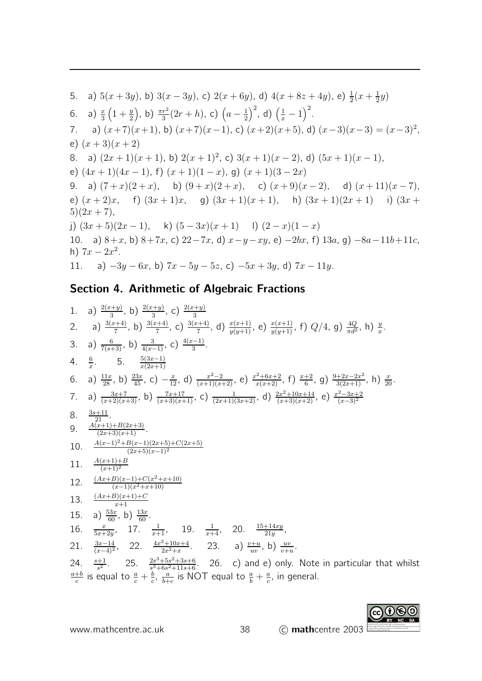5. a) 
$$
5(x+3y)
$$
, b)  $3(x-3y)$ , c)  $2(x+6y)$ , d)  $4(x+8z+4y)$ , e)  $\frac{1}{2}(x+\frac{1}{2}y)$   
\n6. a)  $\frac{x}{3}(1+\frac{y}{2})$ , b)  $\frac{\pi r^2}{3}(2r+h)$ , c)  $(a-\frac{1}{2})^2$ , d)  $(\frac{1}{x}-1)^2$ .  
\n7. a)  $(x+7)(x+1)$ , b)  $(x+7)(x-1)$ , c)  $(x+2)(x+5)$ , d)  $(x-3)(x-3) = (x-3)^2$ ,  
\ne)  $(x+3)(x+2)$   
\n8. a)  $(2x+1)(x+1)$ , b)  $2(x+1)^2$ , c)  $3(x+1)(x-2)$ , d)  $(5x+1)(x-1)$ ,  
\ne)  $(4x+1)(4x-1)$ , f)  $(x+1)(1-x)$ , g)  $(x+1)(3-2x)$   
\n9. a)  $(7+x)(2+x)$ , b)  $(9+x)(2+x)$ , c)  $(x+9)(x-2)$ , d)  $(x+11)(x-7)$ ,  
\ne)  $(x+2)x$ , f)  $(3x+1)x$ , g)  $(3x+1)(x+1)$ , h)  $(3x+1)(2x+1)$  i)  $(3x+5)(2x+7)$ ,  
\nj)  $(3x+5)(2x-1)$ , k)  $(5-3x)(x+1)$  l)  $(2-x)(1-x)$   
\n10. a)  $8+x$ , b)  $8+7x$ , c)  $22-7x$ , d)  $x-y-xy$ , e)  $-2bx$ , f)  $13a$ , g)  $-8a-11b+11c$ ,  
\nh)  $7x-2x^2$ .  
\n11. a)  $-3y-6x$ , b)  $7x-5y-5z$ , c)  $-5x+3y$ , d)  $7x-11y$ .

# Section 4. Arithmetic of Algebraic Fractions

1. a) 
$$
\frac{2(x+y)}{3(x+4)}
$$
, b)  $\frac{2(x+y)}{3(x+4)}$ , c)  $\frac{3(x+4)}{3(x+4)}$ , d)  $\frac{x(x+1)}{y(y+1)}$ , e)  $\frac{x(x+1)}{y(y+1)}$ , f)  $Q/4$ , g)  $\frac{4Q}{\pi d^2}$ , h)  $\frac{y}{x}$ .  
\n3. a)  $\frac{6}{7(x+3)}$ , b)  $\frac{3(x+4)}{4(x-1)}$ , c)  $\frac{4(x-1)}{3}$ .  
\n4.  $\frac{6}{x}$ . 5.  $\frac{5(3x-1)}{x(2x+1)}$   
\n6. a)  $\frac{11x}{128}$ , b)  $\frac{23x}{33}$ , c)  $-\frac{x}{12}$ , d)  $\frac{x^2-2}{(x+1)(x+2)}$ , e)  $\frac{x^2+6x+2}{x(x+2)}$ , f)  $\frac{x+2}{6}$ , g)  $\frac{9+2x-2x^2}{3(2x+1)}$ , h)  $\frac{x}{20}$ .  
\n7. a)  $\frac{3x+7}{(x+2)(x+3)}$ , b)  $\frac{7x+17}{(x+3)(x+1)}$ , c)  $\frac{1}{(2x+1)(3x+2)}$ , d)  $\frac{2x^2+10x+14}{(x+3)(x+2)}$ , e)  $\frac{x^2-3x+2}{(x-3)^2}$   
\n8.  $\frac{3s+11}{21}$ .  
\n9.  $\frac{A(x+1)+B(2x+3)}{2x}$ .  
\n10.  $\frac{A(x-1)^2+B(x-1)(2x+5)+(2x+5)}{2x+5(x-1)^2}$   
\n11.  $\frac{A(x+1)+B}{x+1}$   
\n12.  $\frac{(Ax+B)(x+1)+C}{x+1}$   
\n13.  $\frac{(Ax+B)(x+1)+C}{x+1}$   
\n14.  $\frac{x}{x+2y}$ , 17.  $\frac{1}{x+1}$ , 19.  $\frac{1}{x+4}$ , 20.  $\frac{15+14xy}{21y}$ 

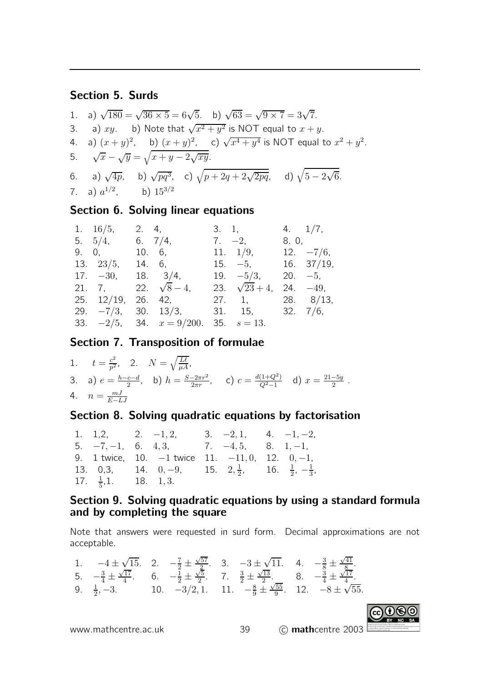#### Section 5. Surds

1. a)  $\sqrt{180} = \sqrt{36 \times 5} = 6\sqrt{5}$ . b)  $\sqrt{63} = \sqrt{9 \times 7} = 3\sqrt{7}$ . 3. a)  $xy$ . b) Note that  $\sqrt{x^2 + y^2}$  is NOT equal to  $x + y$ . 4. a)  $(x+y)^2$ , b)  $(x+y)^2$ , c)  $\sqrt{x^4+y^4}$  is NOT equal to  $x^2+y^2$ . 5.  $\sqrt{x} - \sqrt{y} = \sqrt{x + y - 2\sqrt{xy}}$ . 6. a)  $\sqrt{4p}$ , b)  $\sqrt{pq^3}$ , c)  $\sqrt{p+2q+2\sqrt{2pq}}$ , d)  $\sqrt{5-2\sqrt{6}}$ . 7. a)  $a^{1/2}$ , b)  $15^{3/2}$ 

#### Section 6. Solving linear equations

|                                      |            |                                                                                                                                                                                       |                                                                      | 4. $1/7$ ,                                                                                                    |
|--------------------------------------|------------|---------------------------------------------------------------------------------------------------------------------------------------------------------------------------------------|----------------------------------------------------------------------|---------------------------------------------------------------------------------------------------------------|
|                                      |            |                                                                                                                                                                                       |                                                                      | 8. 0,                                                                                                         |
|                                      |            |                                                                                                                                                                                       |                                                                      | $12. -7/6,$                                                                                                   |
|                                      |            |                                                                                                                                                                                       |                                                                      |                                                                                                               |
|                                      |            |                                                                                                                                                                                       |                                                                      |                                                                                                               |
|                                      |            |                                                                                                                                                                                       |                                                                      | $24. -49,$                                                                                                    |
|                                      |            |                                                                                                                                                                                       |                                                                      |                                                                                                               |
|                                      |            |                                                                                                                                                                                       |                                                                      |                                                                                                               |
|                                      |            |                                                                                                                                                                                       |                                                                      |                                                                                                               |
| 1. $16/5$ ,<br>9. 0,<br>13. $23/5$ , | 5. $5/4$ , | 2. 4,<br>6. $7/4$ ,<br>10. 6,<br>14. 6,<br>$17. -30, 18. 3/4,$<br>21. 7, 22. $\sqrt{8}-4$ ,<br>25. 12/19, 26. 42,<br>29. $-\frac{7}{3}$ , 30. 13/3,<br>33. $-2/5$ , 34. $x = 9/200$ . | $3. \quad 1,$<br>$7. -2,$<br>23. $\sqrt{23} + 4$ ,<br>35. $s = 13$ . | 11. $1/9$ ,<br>$15. -5, 16. 37/19,$<br>19. $-5/3$ , 20. $-5$ ,<br>27. 1, 28. $8/13$ ,<br>$31.$ 15, $32.$ 7/6, |

#### Section 7. Transposition of formulae

1.  $t = \frac{c^2}{p^2}$ , 2.  $N = \sqrt{\frac{L\ell}{\mu A}}$ , p 3. a)  $e = \frac{h - c - d}{2}$ , b)  $h = \frac{S - 2\pi r^2}{2\pi r}$ , c)  $c = \frac{d(1 + Q^2)}{Q^2 - 1}$  d)  $x = \frac{21 - 5y}{2}$ . 4.  $n = \frac{mJ}{E-I}$  $E-LJ$ 

#### Section 8. Solving quadratic equations by factorisation

|                                  | 1. 1,2, 2. $-1,2$ , 3. $-2,1$ , 4. $-1,-2$ ,                                    |  |  |
|----------------------------------|---------------------------------------------------------------------------------|--|--|
|                                  | 5. $-7, -1$ , 6. 4, 3, 7. $-4, 5$ , 8. 1, -1,                                   |  |  |
|                                  | 9. 1 twice, 10. $-1$ twice 11. $-11, 0, 12, 0, -1,$                             |  |  |
|                                  | 13. 0,3, 14. 0, -9, 15. 2, $\frac{1}{2}$ , 16. $\frac{1}{2}$ , $-\frac{1}{3}$ , |  |  |
| 17. $\frac{1}{5}$ , 1. 18. 1, 3. |                                                                                 |  |  |

#### Section 9. Solving quadratic equations by using a standard formula and by completing the square

Note that answers were requested in surd form. Decimal approximations are not acceptable.

1. 
$$
-4 \pm \sqrt{15}
$$
. 2.  $-\frac{7}{2} \pm \frac{\sqrt{57}}{2}$ . 3.  $-3 \pm \sqrt{11}$ . 4.  $-\frac{3}{8} \pm \frac{\sqrt{41}}{8}$ .  
\n5.  $-\frac{3}{4} \pm \frac{\sqrt{17}}{4}$ . 6.  $-\frac{1}{2} \pm \frac{\sqrt{5}}{2}$ . 7.  $\frac{3}{2} \pm \frac{\sqrt{13}}{2}$ . 8.  $-\frac{3}{4} \pm \frac{\sqrt{17}}{4}$ .  
\n9.  $\frac{1}{2}$ , -3. 10.  $-3/2$ , 1. 11.  $-\frac{8}{9} \pm \frac{\sqrt{55}}{9}$ . 12.  $-8 \pm \sqrt{55}$ .

www.mathcentre.ac.uk  $\qquad \qquad$  39  $\qquad$   $\qquad$  mathcentre 2003

To view a copy of this license, visit http://creativecommons.org/licenses/by-nc-sa/3.0/ or send a letter to Creative Commons, 171 Second Street, Suite 300, San Francisco, California, 94105, USA.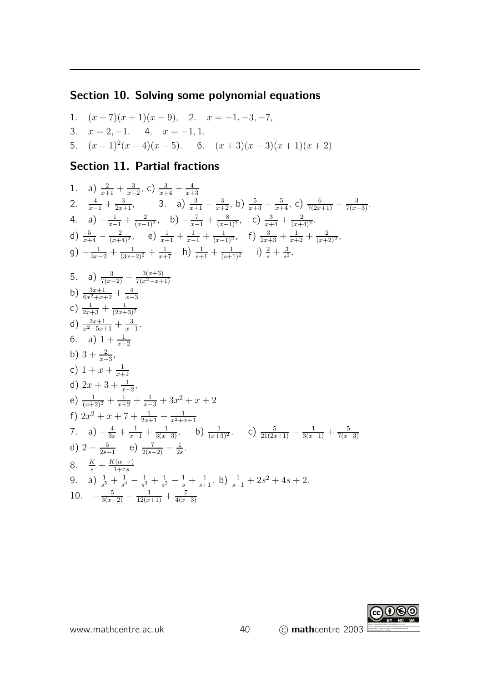### Section 10. Solving some polynomial equations

1.  $(x+7)(x+1)(x-9)$ , 2.  $x = -1, -3, -7$ , 3.  $x = 2, -1.$  4.  $x = -1, 1.$ 5.  $(x+1)^2(x-4)(x-5)$ . 6.  $(x+3)(x-3)(x+1)(x+2)$ 

#### Section 11. Partial fractions

1. a) 
$$
\frac{2}{x+1} + \frac{3}{x-2}
$$
, c)  $\frac{3}{x+4} + \frac{4}{x+3}$   
\n2.  $\frac{4}{x-1} + \frac{3}{2x+1}$ , 3. a)  $\frac{3}{x+1} - \frac{3}{x+2}$ , b)  $\frac{5}{x+3} - \frac{5}{x+4}$ , c)  $\frac{6}{7(2x+1)} - \frac{3}{7(x-3)}$ .  
\n4. a)  $-\frac{1}{x-1} + \frac{2}{(x-1)^2}$ , b)  $-\frac{7}{x-1} + \frac{8}{(x-1)^2}$ , c)  $\frac{3}{x+4} + \frac{2}{(x+4)^2}$ .  
\nd)  $\frac{5}{x+4} - \frac{2}{(x+4)^2}$ , e)  $\frac{1}{x+1} + \frac{1}{x-1} + \frac{1}{(x-1)^2}$ , f)  $\frac{3}{2x+3} + \frac{1}{x+2} + \frac{2}{(x+2)^2}$ ,  
\ng)  $-\frac{1}{3x-2} + \frac{1}{(3x-2)^2} + \frac{1}{x+7}$  h)  $\frac{1}{s+1} + \frac{1}{(s+1)^2}$  i)  $\frac{2}{s} + \frac{3}{s^2}$ .  
\n5. a)  $\frac{3}{7(x-2)} - \frac{3(x+3)}{7(x^2+x+1)}$   
\nb)  $\frac{3x+1}{6x^2+x+2} + \frac{4}{x-3}$   
\nc)  $\frac{1}{2x+3} + \frac{1}{(2x+3)^2}$   
\nd)  $\frac{3x+1}{x^2+5x+1} + \frac{3}{x-1}$ .  
\n6. a)  $1 + \frac{1}{x+2}$   
\nb)  $3 + \frac{2}{x-3}$ ,  
\nc)  $1 + x + \frac{1}{x+1}$   
\nd)  $2x + 3 + \frac{1}{x+2}$ ,  
\ne)  $\frac{1}{(x+2)^2} + \frac{1}{x+2} + \frac{1}{x-3} + 3x^2 + x + 2$   
\nf)  $2x^2 + x + 7 + \frac{1}{$